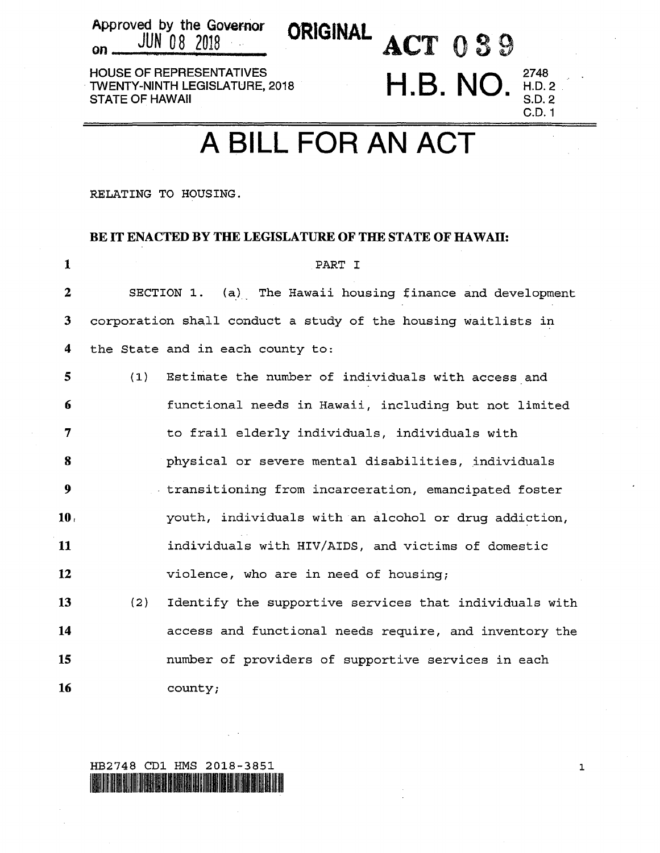Approved by the Governor ORIGINAL ACT 0 3 9 HOUSE OF REPRESENTATIVES TWENTY-NINTH LEGISLATURE, 2018<br>STATE OF HAWAII

Approved by the Goven1or

## A BILL FOR AN ACT

 $H.B. NO.$ 

2748 H.D.2 S.D.2 C.D.1

RELATING TO HOUSING.

## BE IT ENACTED BY THE LEGISLATURE OF THE STATE OF HAWAII:

| 1                |     | PART I                                                        |
|------------------|-----|---------------------------------------------------------------|
| $\mathbf{2}$     |     | SECTION 1. (a) The Hawaii housing finance and development     |
| 3                |     | corporation shall conduct a study of the housing waitlists in |
| 4                |     | the State and in each county to:                              |
| 5                | (1) | Estimate the number of individuals with access and            |
| 6                |     | functional needs in Hawaii, including but not limited         |
| 7                |     | to frail elderly individuals, individuals with                |
| 8                |     | physical or severe mental disabilities, individuals           |
| $\boldsymbol{9}$ |     | transitioning from incarceration, emancipated foster          |
| 10 <sub>1</sub>  |     | youth, individuals with an alcohol or drug addiction,         |
| 11               |     | individuals with HIV/AIDS, and victims of domestic            |
| 12               |     | violence, who are in need of housing;                         |
| 13               | (2) | Identify the supportive services that individuals with        |
| 14               |     | access and functional needs require, and inventory the        |
| 15               |     | number of providers of supportive services in each            |
| 16               |     | county;                                                       |

HB2748 CDl HMS 2018-3851 llallin aluta alla see vari see vari see vari see valla see valla see valla see valla see valla see valla see

1